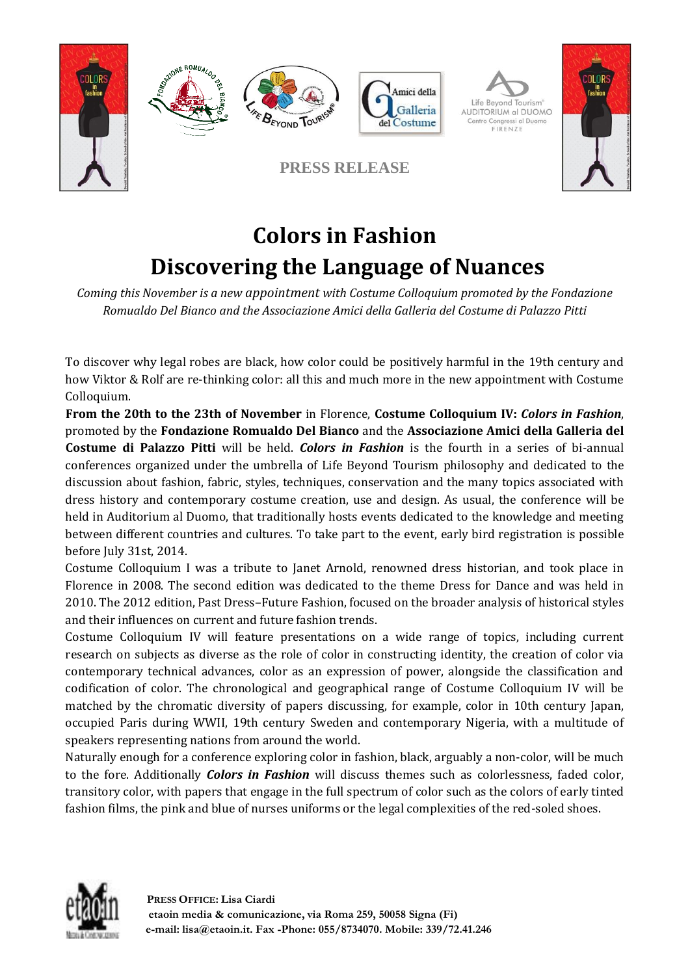

## **Colors in Fashion Discovering the Language of Nuances**

*Coming this November is a new appointment with Costume Colloquium promoted by the Fondazione Romualdo Del Bianco and the Associazione Amici della Galleria del Costume di Palazzo Pitti*

To discover why legal robes are black, how color could be positively harmful in the 19th century and how Viktor & Rolf are re-thinking color: all this and much more in the new appointment with Costume Colloquium.

**From the 20th to the 23th of November** in Florence, **Costume Colloquium IV:** *Colors in Fashion*, promoted by the **Fondazione Romualdo Del Bianco** and the **Associazione Amici della Galleria del Costume di Palazzo Pitti** will be held. *Colors in Fashion* is the fourth in a series of bi-annual conferences organized under the umbrella of Life Beyond Tourism philosophy and dedicated to the discussion about fashion, fabric, styles, techniques, conservation and the many topics associated with dress history and contemporary costume creation, use and design. As usual, the conference will be held in Auditorium al Duomo, that traditionally hosts events dedicated to the knowledge and meeting between different countries and cultures. To take part to the event, early bird registration is possible before July 31st, 2014.

Costume Colloquium I was a tribute to Janet Arnold, renowned dress historian, and took place in Florence in 2008. The second edition was dedicated to the theme Dress for Dance and was held in 2010. The 2012 edition, Past Dress–Future Fashion, focused on the broader analysis of historical styles and their influences on current and future fashion trends.

Costume Colloquium IV will feature presentations on a wide range of topics, including current research on subjects as diverse as the role of color in constructing identity, the creation of color via contemporary technical advances, color as an expression of power, alongside the classification and codification of color. The chronological and geographical range of Costume Colloquium IV will be matched by the chromatic diversity of papers discussing, for example, color in 10th century Japan, occupied Paris during WWII, 19th century Sweden and contemporary Nigeria, with a multitude of speakers representing nations from around the world.

Naturally enough for a conference exploring color in fashion, black, arguably a non-color, will be much to the fore. Additionally *Colors in Fashion* will discuss themes such as colorlessness, faded color, transitory color, with papers that engage in the full spectrum of color such as the colors of early tinted fashion films, the pink and blue of nurses uniforms or the legal complexities of the red-soled shoes.